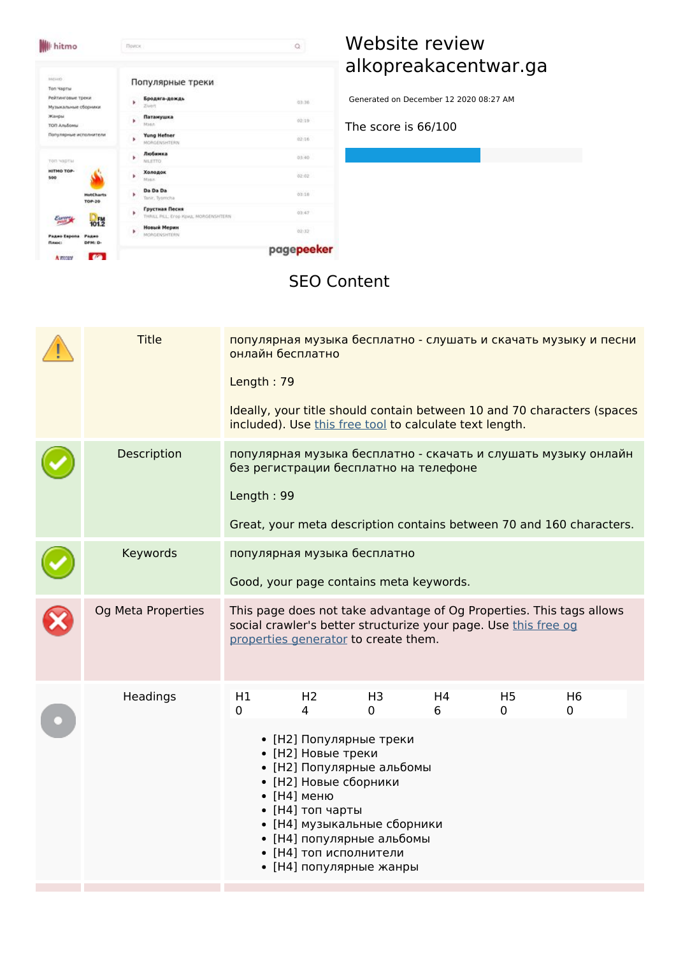$\alpha$ **W** hitmo Поиск неню. Популярные треки .<br>Ton Yaptu **Бродяга-дождь** Рейтинговые треки 03:36 Музыкальные оборники .<br>Ватанушка Жанры 02:19 TOR Anabonu Популярные исполнители  $\frac{1}{2}$  Yung Hefner  $62.16$ Любимка 03:40 à. топ чарты HITMO TOP-<br>500 Холодок  $02.02$ Ý. Da Da Da 03:18 ¥ HotCh<br>TOP-21 Грустная Песня<br>THRILL PLL, Enop K  $\mathbf{r}$  $03.47$  $\epsilon_{\text{max}}$  $h<sub>0</sub>$  fw **Hossek Mepers**<br>MORGENSPITERS 02:32  $\mathbf{r}$ PARKO<br>DFM: D-Радио Евр<br>Плюс: pagepeeker  $\sim$ Amm

**Contract Contract** 

# **Website review alkopreakacentwar.ga**

Generated on December 12 2020 08:27 AM

**The score is 66/100**

#### **SEO Content**

| <b>Title</b>       | Length: 79 | онлайн бесплатно<br>included). Use this free tool to calculate text length.                                                                                                                                                                                                    |                     |                     |                     | популярная музыка бесплатно - слушать и скачать музыку и песни<br>Ideally, your title should contain between 10 and 70 characters (spaces |
|--------------------|------------|--------------------------------------------------------------------------------------------------------------------------------------------------------------------------------------------------------------------------------------------------------------------------------|---------------------|---------------------|---------------------|-------------------------------------------------------------------------------------------------------------------------------------------|
| Description        | Length: 99 | без регистрации бесплатно на телефоне                                                                                                                                                                                                                                          |                     |                     |                     | популярная музыка бесплатно - скачать и слушать музыку онлайн<br>Great, your meta description contains between 70 and 160 characters.     |
| Keywords           |            | популярная музыка бесплатно<br>Good, your page contains meta keywords.                                                                                                                                                                                                         |                     |                     |                     |                                                                                                                                           |
| Og Meta Properties |            | social crawler's better structurize your page. Use this free og<br>properties generator to create them.                                                                                                                                                                        |                     |                     |                     | This page does not take advantage of Og Properties. This tags allows                                                                      |
| Headings           | H1<br>0    | H <sub>2</sub><br>4<br>• [Н2] Популярные треки<br>• [Н2] Новые треки<br>• [Н2] Популярные альбомы<br>• [Н2] Новые сборники<br>• [Н4] меню<br>• [Н4] топ чарты<br>• [Н4] музыкальные сборники<br>• [Н4] популярные альбомы<br>• [Н4] топ исполнители<br>• [Н4] популярные жанры | H <sub>3</sub><br>0 | H <sub>4</sub><br>6 | H <sub>5</sub><br>0 | H <sub>6</sub><br>0                                                                                                                       |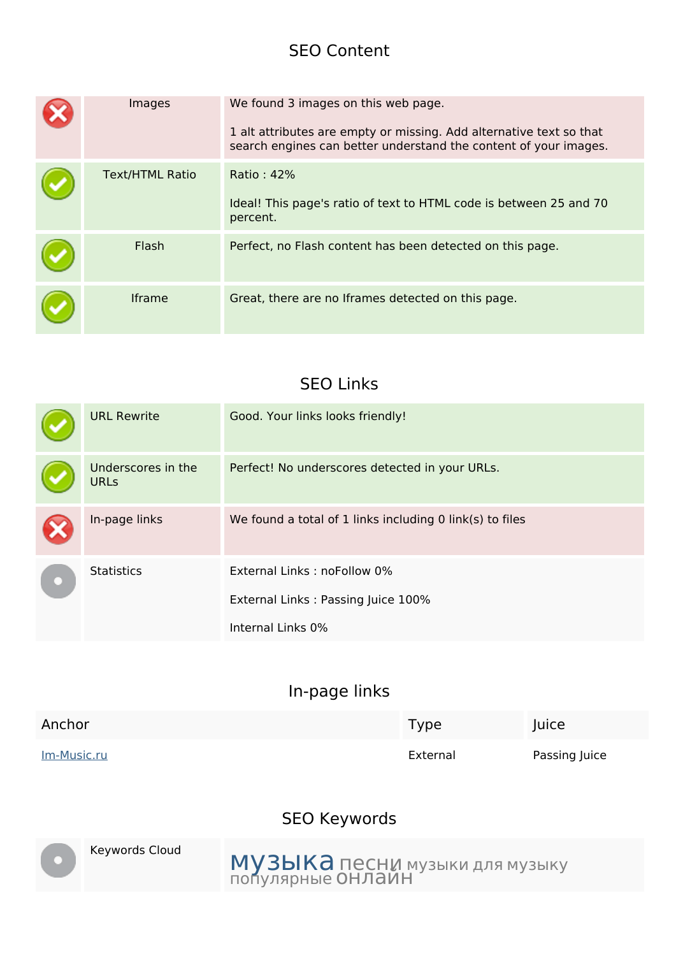#### **SEO Content**

| Images                 | We found 3 images on this web page.<br>1 alt attributes are empty or missing. Add alternative text so that<br>search engines can better understand the content of your images. |
|------------------------|--------------------------------------------------------------------------------------------------------------------------------------------------------------------------------|
| <b>Text/HTML Ratio</b> | Ratio: 42%<br>Ideal! This page's ratio of text to HTML code is between 25 and 70<br>percent.                                                                                   |
| Flash                  | Perfect, no Flash content has been detected on this page.                                                                                                                      |
| <b>Iframe</b>          | Great, there are no Iframes detected on this page.                                                                                                                             |

#### **SEO Links**

| <b>URL Rewrite</b>                | Good. Your links looks friendly!                         |
|-----------------------------------|----------------------------------------------------------|
| Underscores in the<br><b>URLs</b> | Perfect! No underscores detected in your URLs.           |
| In-page links                     | We found a total of 1 links including 0 link(s) to files |
| <b>Statistics</b>                 | External Links: noFollow 0%                              |
|                                   | External Links: Passing Juice 100%                       |
|                                   | Internal Links 0%                                        |

#### **In-page links**

| Anchor             | <b>Type</b> | Juice         |
|--------------------|-------------|---------------|
| <u>Im-Music.ru</u> | External    | Passing Juice |

## **SEO Keywords**



Keywords Cloud  $MyzbKa$  песни музыки для музыку популярные онлайн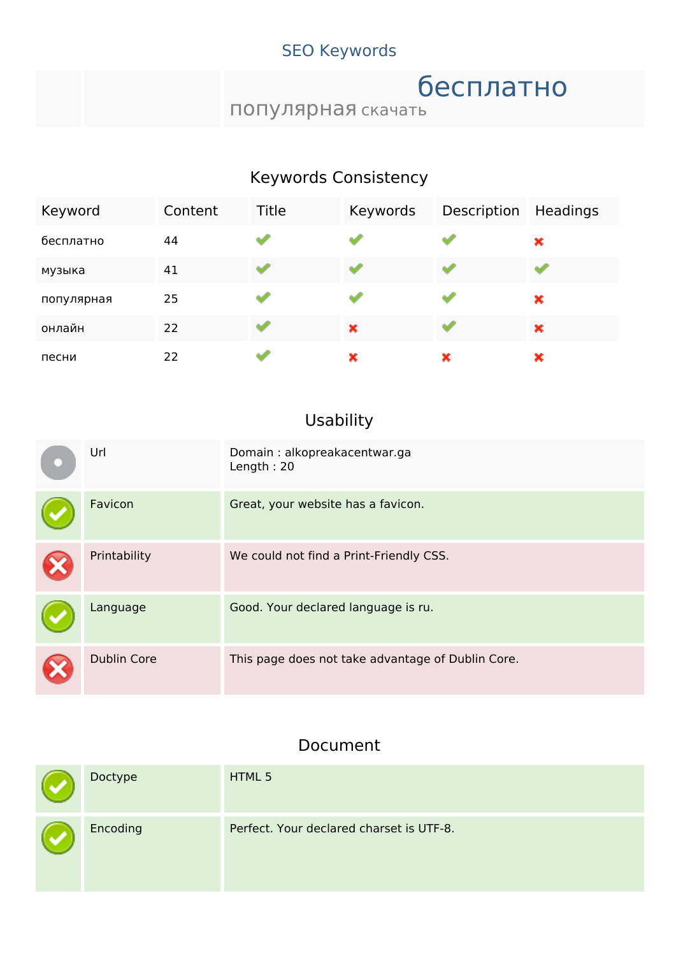## **SEO Keywords**

# бесплатно

популярная скачать

## **Keywords Consistency**

| Keyword    | Content | Title | Keywords | Description | Headings |
|------------|---------|-------|----------|-------------|----------|
| бесплатно  | 44      |       |          |             | ×        |
| музыка     | 41      | dia 1 |          |             |          |
| популярная | 25      |       |          |             | ×        |
| онлайн     | 22      | سه    | ×        | ₩           | ×        |
| песни      | 22      |       | ×        | ×           | ×        |

# **Usability**

| Url                | Domain: alkopreakacentwar.ga<br>Length: $20$      |
|--------------------|---------------------------------------------------|
| Favicon            | Great, your website has a favicon.                |
| Printability       | We could not find a Print-Friendly CSS.           |
| Language           | Good. Your declared language is ru.               |
| <b>Dublin Core</b> | This page does not take advantage of Dublin Core. |

#### **Document**

| Doctype  | HTML 5                                   |
|----------|------------------------------------------|
| Encoding | Perfect. Your declared charset is UTF-8. |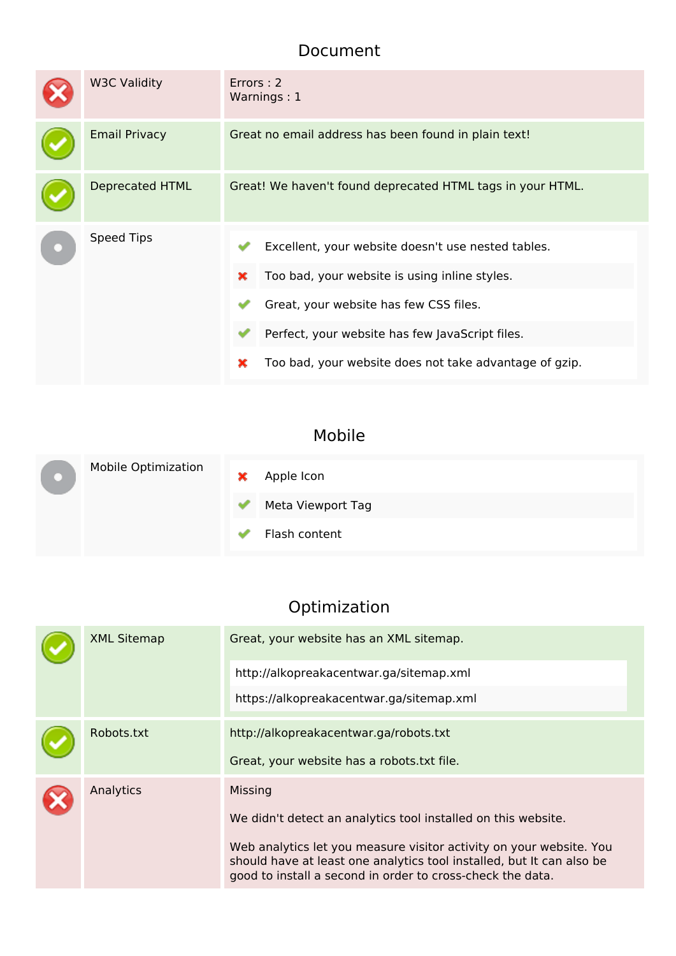#### **Document**

| <b>W3C Validity</b>    | Errors: 2<br>Warnings: 1                                                                                                                                                                                                                                             |  |  |
|------------------------|----------------------------------------------------------------------------------------------------------------------------------------------------------------------------------------------------------------------------------------------------------------------|--|--|
| <b>Email Privacy</b>   | Great no email address has been found in plain text!                                                                                                                                                                                                                 |  |  |
| <b>Deprecated HTML</b> | Great! We haven't found deprecated HTML tags in your HTML.                                                                                                                                                                                                           |  |  |
| <b>Speed Tips</b>      | Excellent, your website doesn't use nested tables.<br>Too bad, your website is using inline styles.<br>×<br>Great, your website has few CSS files.<br>Perfect, your website has few JavaScript files.<br>Too bad, your website does not take advantage of gzip.<br>× |  |  |

# **Mobile**

|  | <b>Mobile Optimization</b> | × | Apple Icon        |
|--|----------------------------|---|-------------------|
|  |                            | ✔ | Meta Viewport Tag |
|  |                            |   | Flash content     |

# **Optimization**

| <b>XML Sitemap</b> | Great, your website has an XML sitemap.<br>http://alkopreakacentwar.ga/sitemap.xml<br>https://alkopreakacentwar.ga/sitemap.xml                                                                                                                                                         |
|--------------------|----------------------------------------------------------------------------------------------------------------------------------------------------------------------------------------------------------------------------------------------------------------------------------------|
|                    |                                                                                                                                                                                                                                                                                        |
| Robots.txt         | http://alkopreakacentwar.ga/robots.txt                                                                                                                                                                                                                                                 |
|                    | Great, your website has a robots.txt file.                                                                                                                                                                                                                                             |
| Analytics          | Missing<br>We didn't detect an analytics tool installed on this website.<br>Web analytics let you measure visitor activity on your website. You<br>should have at least one analytics tool installed, but It can also be<br>good to install a second in order to cross-check the data. |